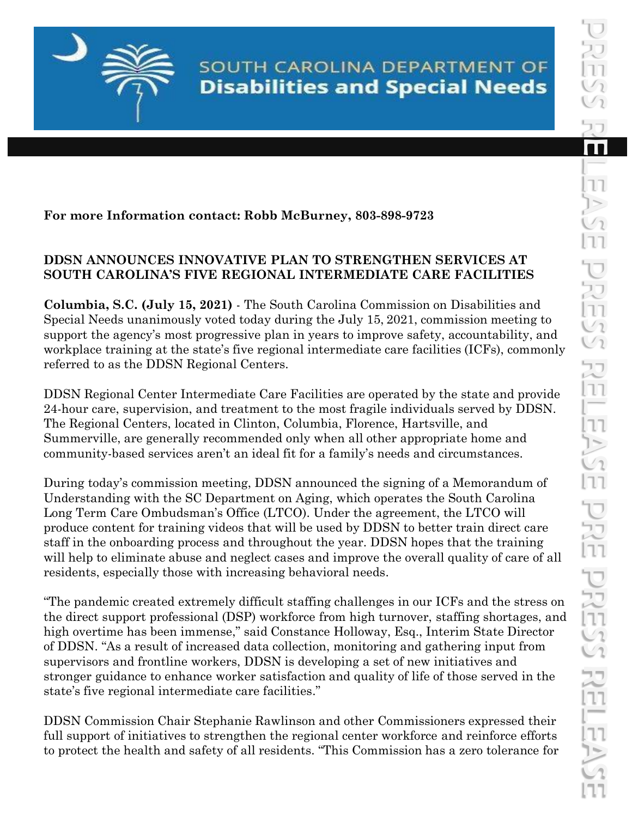SOUTH CAROLINA DEPARTMENT OF **Disabilities and Special Needs** 

## **For more Information contact: Robb McBurney, 803-898-9723**

## **DDSN ANNOUNCES INNOVATIVE PLAN TO STRENGTHEN SERVICES AT SOUTH CAROLINA'S FIVE REGIONAL INTERMEDIATE CARE FACILITIES**

**Columbia, S.C. (July 15, 2021)** - The South Carolina Commission on Disabilities and Special Needs unanimously voted today during the July 15, 2021, commission meeting to support the agency's most progressive plan in years to improve safety, accountability, and workplace training at the state's five regional intermediate care facilities (ICFs), commonly referred to as the DDSN Regional Centers.

DDSN Regional Center Intermediate Care Facilities are operated by the state and provide 24-hour care, supervision, and treatment to the most fragile individuals served by DDSN. The Regional Centers, located in Clinton, Columbia, Florence, Hartsville, and Summerville, are generally recommended only when all other appropriate home and community-based services aren't an ideal fit for a family's needs and circumstances.

During today's commission meeting, DDSN announced the signing of a Memorandum of Understanding with the SC Department on Aging, which operates the South Carolina Long Term Care Ombudsman's Office (LTCO). Under the agreement, the LTCO will produce content for training videos that will be used by DDSN to better train direct care staff in the onboarding process and throughout the year. DDSN hopes that the training will help to eliminate abuse and neglect cases and improve the overall quality of care of all residents, especially those with increasing behavioral needs.

"The pandemic created extremely difficult staffing challenges in our ICFs and the stress on the direct support professional (DSP) workforce from high turnover, staffing shortages, and high overtime has been immense," said Constance Holloway, Esq., Interim State Director of DDSN. "As a result of increased data collection, monitoring and gathering input from supervisors and frontline workers, DDSN is developing a set of new initiatives and stronger guidance to enhance worker satisfaction and quality of life of those served in the state's five regional intermediate care facilities."

DDSN Commission Chair Stephanie Rawlinson and other Commissioners expressed their full support of initiatives to strengthen the regional center workforce and reinforce efforts to protect the health and safety of all residents. "This Commission has a zero tolerance for